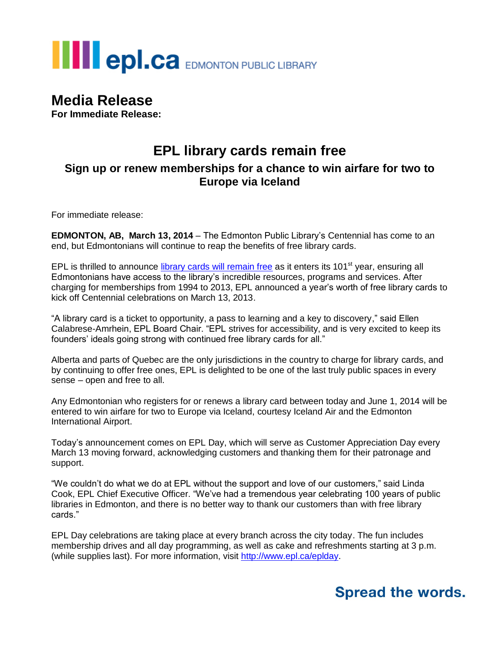# **THE POLCA** EDMONTON PUBLIC LIBRARY

## **Media Release**

**For Immediate Release:**

### **EPL library cards remain free Sign up or renew memberships for a chance to win airfare for two to Europe via Iceland**

For immediate release:

**EDMONTON, AB, March 13, 2014** – The Edmonton Public Library's Centennial has come to an end, but Edmontonians will continue to reap the benefits of free library cards.

EPL is thrilled to announce [library cards will remain free](http://www.epl.ca/services/library-card) as it enters its 101<sup>st</sup> year, ensuring all Edmontonians have access to the library's incredible resources, programs and services. After charging for memberships from 1994 to 2013, EPL announced a year's worth of free library cards to kick off Centennial celebrations on March 13, 2013.

"A library card is a ticket to opportunity, a pass to learning and a key to discovery," said Ellen Calabrese-Amrhein, EPL Board Chair. "EPL strives for accessibility, and is very excited to keep its founders' ideals going strong with continued free library cards for all."

Alberta and parts of Quebec are the only jurisdictions in the country to charge for library cards, and by continuing to offer free ones, EPL is delighted to be one of the last truly public spaces in every sense – open and free to all.

Any Edmontonian who registers for or renews a library card between today and June 1, 2014 will be entered to win airfare for two to Europe via Iceland, courtesy Iceland Air and the Edmonton International Airport.

Today's announcement comes on EPL Day, which will serve as Customer Appreciation Day every March 13 moving forward, acknowledging customers and thanking them for their patronage and support.

"We couldn't do what we do at EPL without the support and love of our customers," said Linda Cook, EPL Chief Executive Officer. "We've had a tremendous year celebrating 100 years of public libraries in Edmonton, and there is no better way to thank our customers than with free library cards."

EPL Day celebrations are taking place at every branch across the city today. The fun includes membership drives and all day programming, as well as cake and refreshments starting at 3 p.m. (while supplies last). For more information, visit [http://www.epl.ca/eplday.](http://www.epl.ca/eplday)

## **Spread the words.**